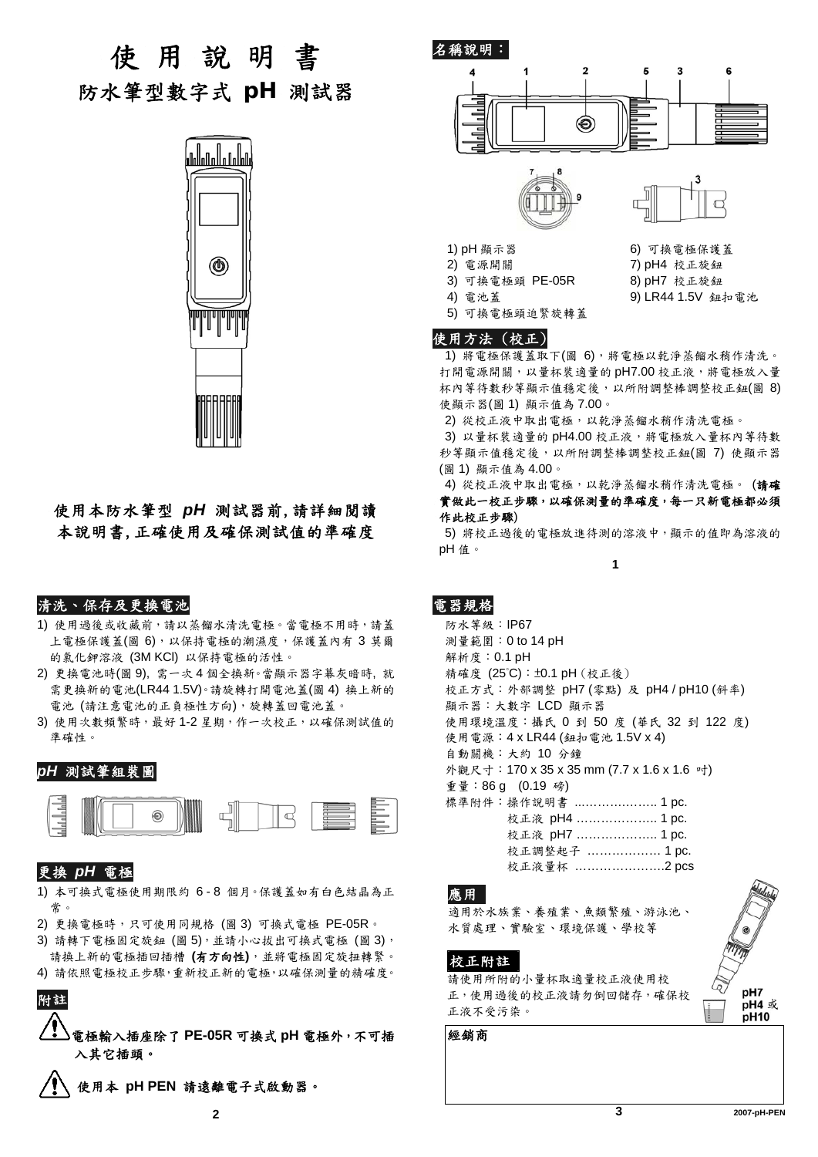使 用 說 明 書 防水筆型數字式 *pH* 測試器



# 使用本防水筆型 *pH* 測試器前,請詳細閱讀 本說明書,正確使用及確保測試值的準確度

### 清洗、保存及更換電池

- 1) 使用過後或收藏前,請以蒸餾水清洗電極。當電極不用時,請蓋 上電極保護蓋(圖 6),以保持電極的潮濕度,保護蓋內有 3 莫爾 的氯化鉀溶液 (3M KCl) 以保持電極的活性。
- 2) 更換電池時(圖 9), 需一次 4 個全換新。當顯示器字幕灰暗時, 就 需更換新的電池(LR44 1.5V)。請旋轉打開電池蓋(圖 4) 換上新的 電池 (請注意電池的正負極性方向),旋轉蓋回電池蓋。
- 3) 使用次數頻繁時,最好1-2星期,作一次校正,以確保測試值的 準確性。

#### *pH* 測試筆組裝圖



## 更換 *pH* 電極

- 1) 本可換式電極使用期限約 6 8 個月。保護蓋如有白色結晶為正 常。
- 2) 更換電極時,只可使用同規格 (圖 3) 可換式電極 PE-05R。
- 3) 請轉下電極固定旋鈕 (圖5),並請小心拔出可換式電極 (圖3), 請換上新的電極插回插槽 **(**有方向性**)**,並將電極固定旋扭轉緊。
- 4) 請依照電極校正步驟,重新校正新的電極,以確保測量的精確度。



電極輸入插座除了 **PE-05R** 可換式 **pH** 電極外,不可插 入其它插頭。

使用本 **pH PEN** 請遠離電子式啟動器。





- 1) pH 顯示器 6) 可換電極保護蓋
- 2) 電源開關 7) pH4 校正旋鈕
- 3) 可換電極頭 PE-05R 8) pH7 校正旋鈕
- 

4) 電池蓋 9) LR44 1.5V 鈕扣電池

5) 可換電極頭迫緊旋轉蓋

#### 使用方法 (校正)

1) 將電極保護蓋取下(圖 6),將電極以乾淨蒸餾水稍作清洗。 打開電源開關,以量杯裝適量的 pH7.00 校正液,將電極放入量 杯內等待數秒等顯示值穩定後,以所附調整棒調整校正鈕(圖 8) 使顯示器(圖 1) 顯示值為 7.00。

2) 從校正液中取出電極,以乾淨蒸餾水稍作清洗電極。

3) 以量杯裝適量的 pH4.00 校正液,將電極放入量杯內等待數 秒等顯示值穩定後,以所附調整棒調整校正鈕(圖 7) 使顯示器 (圖 1) 顯示值為 4.00。

4) 從校正液中取出電極,以乾淨蒸餾水稍作清洗電極。 (請確 實做此一校正步驟,以確保測量的準確度,每一只新電極都必須 作此校正步驟)

5) 將校正過後的電極放進待測的溶液中,顯示的值即為溶液的 pH 值。

**1**

# 電器規格

防水等級:IP67 測量範圍:0 to 14 pH 解析度:0.1 pH 精確度 (25°C):±0.1 pH (校正後) 校正方式:外部調整 pH7 (零點) 及 pH4 / pH10 (斜率) 顯示器:大數字 LCD 顯示器 使用環境溫度:攝氏 0 到 50 度 (華氏 32 到 122 度) 使用電源:4 x LR44 (鈕扣電池 1.5V x 4) 自動關機:大約 10 分鐘 外觀尺寸:170 x 35 x 35 mm (7.7 x 1.6 x 1.6 吋) 重量:86 g (0.19 磅) 標準附件:操作說明書 ...……….…….. 1 pc. 校正液 pH4 ……………….. 1 pc. 校正液 pH7 ……………….. 1 pc. 校正調整起子 ……………… 1 pc.

校正液量杯 ………………….2 pcs

#### 應用

適用於水族業、養殖業、魚類繁殖、游泳池、 水質處理、實驗室、環境保護、學校等

#### 校正附註

請使用所附的小量杯取適量校正液使用校 正,使用過後的校正液請勿倒回儲存,確保校 正液不受污染。

經銷商